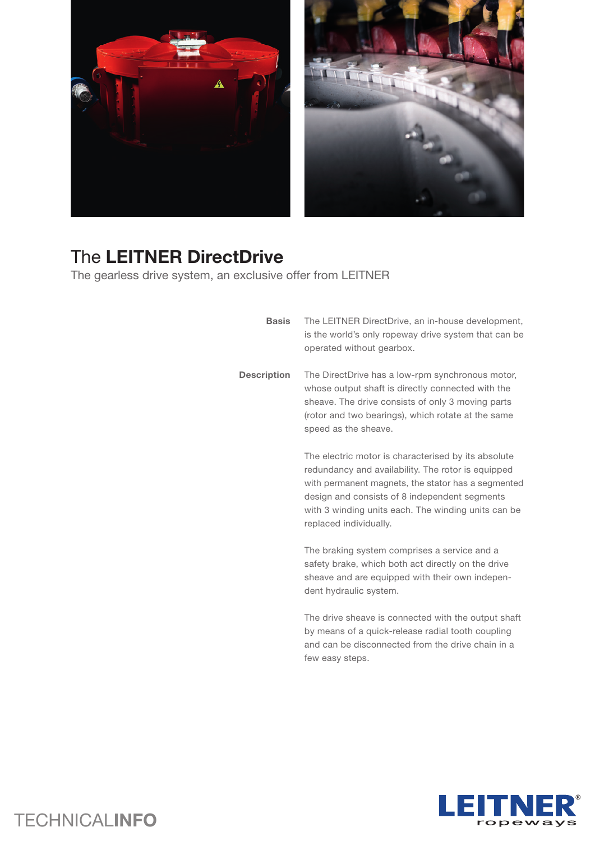



## The **LEITNER DirectDrive**

The gearless drive system, an exclusive offer from LEITNER

| <b>Basis</b>       | The LEITNER DirectDrive, an in-house development,<br>is the world's only ropeway drive system that can be<br>operated without gearbox.                                                                                                                                                            |
|--------------------|---------------------------------------------------------------------------------------------------------------------------------------------------------------------------------------------------------------------------------------------------------------------------------------------------|
| <b>Description</b> | The DirectDrive has a low-rpm synchronous motor,<br>whose output shaft is directly connected with the<br>sheave. The drive consists of only 3 moving parts<br>(rotor and two bearings), which rotate at the same<br>speed as the sheave.                                                          |
|                    | The electric motor is characterised by its absolute<br>redundancy and availability. The rotor is equipped<br>with permanent magnets, the stator has a segmented<br>design and consists of 8 independent segments<br>with 3 winding units each. The winding units can be<br>replaced individually. |
|                    | The braking system comprises a service and a<br>safety brake, which both act directly on the drive<br>sheave and are equipped with their own indepen-<br>dent hydraulic system.                                                                                                                   |
|                    | The drive sheave is connected with the output shaft<br>by means of a quick-release radial tooth coupling<br>and can be disconnected from the drive chain in a<br>few easy steps.                                                                                                                  |



## TECHNICAL**INFO**